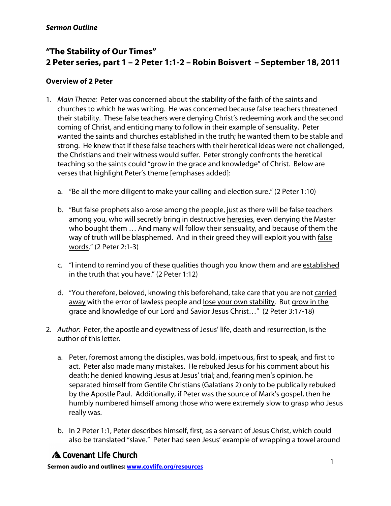# **"The Stability of Our Times" 2 Peter series, part 1 – 2 Peter 1:1-2 – Robin Boisvert – September 18, 2011**

### **Overview of 2 Peter**

- 1. *Main Theme:* Peter was concerned about the stability of the faith of the saints and churches to which he was writing. He was concerned because false teachers threatened their stability. These false teachers were denying Christ's redeeming work and the second coming of Christ, and enticing many to follow in their example of sensuality. Peter wanted the saints and churches established in the truth; he wanted them to be stable and strong. He knew that if these false teachers with their heretical ideas were not challenged, the Christians and their witness would suffer. Peter strongly confronts the heretical teaching so the saints could "grow in the grace and knowledge" of Christ. Below are verses that highlight Peter's theme [emphases added]:
	- a. "Be all the more diligent to make your calling and election sure." (2 Peter 1:10)
	- b. "But false prophets also arose among the people, just as there will be false teachers among you, who will secretly bring in destructive heresies, even denying the Master who bought them … And many will follow their sensuality, and because of them the way of truth will be blasphemed. And in their greed they will exploit you with false words." (2 Peter 2:1-3)
	- c. "I intend to remind you of these qualities though you know them and are established in the truth that you have." (2 Peter 1:12)
	- d. "You therefore, beloved, knowing this beforehand, take care that you are not carried away with the error of lawless people and lose your own stability. But grow in the grace and knowledge of our Lord and Savior Jesus Christ…" (2 Peter 3:17-18)
- 2. *Author:* Peter, the apostle and eyewitness of Jesus' life, death and resurrection, is the author of this letter.
	- a. Peter, foremost among the disciples, was bold, impetuous, first to speak, and first to act. Peter also made many mistakes. He rebuked Jesus for his comment about his death; he denied knowing Jesus at Jesus' trial; and, fearing men's opinion, he separated himself from Gentile Christians (Galatians 2) only to be publically rebuked by the Apostle Paul. Additionally, if Peter was the source of Mark's gospel, then he humbly numbered himself among those who were extremely slow to grasp who Jesus really was.
	- b. In 2 Peter 1:1, Peter describes himself, first, as a servant of Jesus Christ, which could also be translated "slave." Peter had seen Jesus' example of wrapping a towel around

# A Covenant Life Church

<sup>1</sup> **Sermon audio and outlines: www.covlife.org/resources**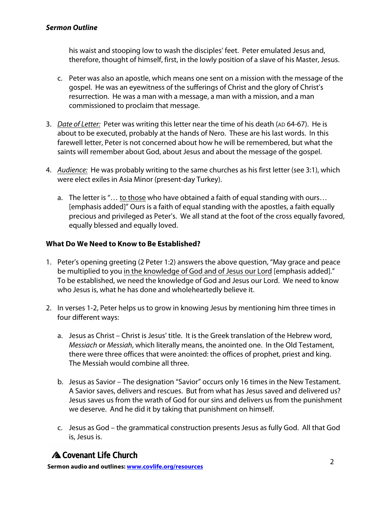#### *Sermon Outline*

his waist and stooping low to wash the disciples' feet. Peter emulated Jesus and, therefore, thought of himself, first, in the lowly position of a slave of his Master, Jesus.

- c. Peter was also an apostle, which means one sent on a mission with the message of the gospel. He was an eyewitness of the sufferings of Christ and the glory of Christ's resurrection. He was a man with a message, a man with a mission, and a man commissioned to proclaim that message.
- 3. *Date of Letter:* Peter was writing this letter near the time of his death (AD 64-67). He is about to be executed, probably at the hands of Nero. These are his last words. In this farewell letter, Peter is not concerned about how he will be remembered, but what the saints will remember about God, about Jesus and about the message of the gospel.
- 4. *Audience:* He was probably writing to the same churches as his first letter (see 3:1), which were elect exiles in Asia Minor (present-day Turkey).
	- a. The letter is "… to those who have obtained a faith of equal standing with ours… [emphasis added]" Ours is a faith of equal standing with the apostles, a faith equally precious and privileged as Peter's. We all stand at the foot of the cross equally favored, equally blessed and equally loved.

### **What Do We Need to Know to Be Established?**

- 1. Peter's opening greeting (2 Peter 1:2) answers the above question, "May grace and peace be multiplied to you in the knowledge of God and of Jesus our Lord [emphasis added]." To be established, we need the knowledge of God and Jesus our Lord. We need to know who Jesus is, what he has done and wholeheartedly believe it.
- 2. In verses 1-2, Peter helps us to grow in knowing Jesus by mentioning him three times in four different ways:
	- a. Jesus as Christ Christ is Jesus' title. It is the Greek translation of the Hebrew word, *Messiach* or *Messiah*, which literally means, the anointed one. In the Old Testament, there were three offices that were anointed: the offices of prophet, priest and king. The Messiah would combine all three.
	- b. Jesus as Savior The designation "Savior" occurs only 16 times in the New Testament. A Savior saves, delivers and rescues. But from what has Jesus saved and delivered us? Jesus saves us from the wrath of God for our sins and delivers us from the punishment we deserve. And he did it by taking that punishment on himself.
	- c. Jesus as God the grammatical construction presents Jesus as fully God. All that God is, Jesus is.

# A Covenant Life Church

<sup>2</sup> **Sermon audio and outlines: www.covlife.org/resources**